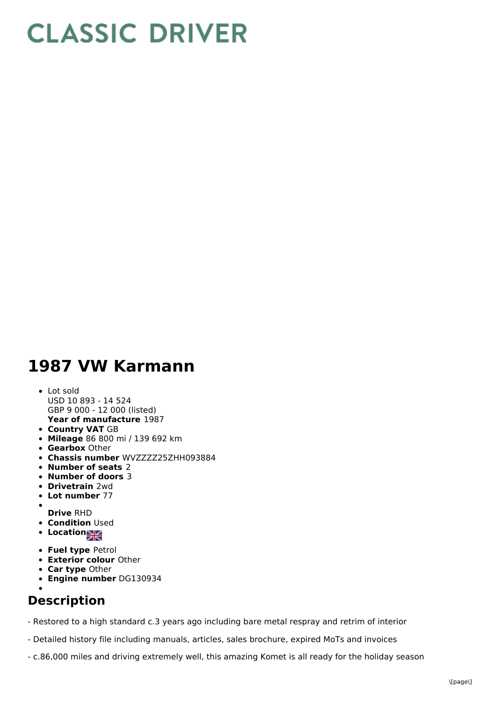## **CLASSIC DRIVER**

## **1987 VW Karmann**

- **Year of manufacture** 1987 Lot sold USD 10 893 - 14 524 GBP 9 000 - 12 000 (listed)
- **Country VAT** GB
- **Mileage** 86 800 mi / 139 692 km
- **Gearbox** Other
- **Chassis number** WVZZZZ25ZHH093884
- **Number of seats** 2
- **Number of doors** 3
- **Drivetrain** 2wd
- **Lot number** 77
- 
- **Drive** RHD **• Condition Used**
- **Location**
- **Fuel type** Petrol
- **Exterior colour** Other
- **Car type** Other
- **Engine number** DG130934

## **Description**

- Restored to a high standard c.3 years ago including bare metal respray and retrim of interior

- Detailed history file including manuals, articles, sales brochure, expired MoTs and invoices
- c.86,000 miles and driving extremely well, this amazing Komet is all ready for the holiday season